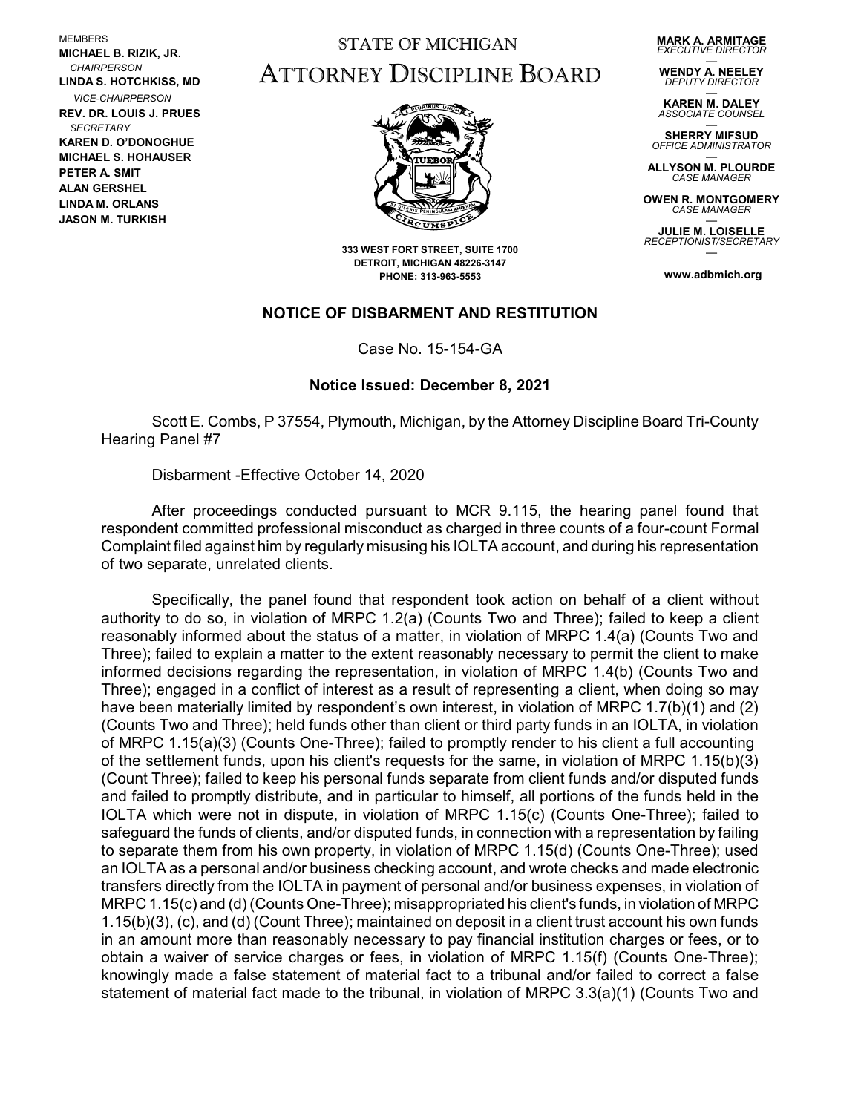MEMBERS **MICHAEL B. RIZIK, JR.**  *CHAIRPERSON* **LINDA S. HOTCHKISS, MD** *VICE-CHAIRPERSON* **REV. DR. LOUIS J. PRUES**  *SECRETARY* **KAREN D. O'DONOGHUE MICHAEL S. HOHAUSER PETER A. SMIT ALAN GERSHEL LINDA M. ORLANS JASON M. TURKISH**

## STATE OF MICHIGAN ATTORNEY DISCIPLINE BOARD

**MARK A. ARMITAGE** *EXECUTIVE DIRECTOR*

— **WENDY A. NEELEY** *DEPUTY DIRECTOR*

— **KAREN M. DALEY** *ASSOCIATE COUNSEL*

— **SHERRY MIFSUD** *OFFICE ADMINISTRATOR*

— **ALLYSON M. PLOURDE** *CASE MANAGER*

**OWEN R. MONTGOMERY** *CASE MANAGER* —

**JULIE M. LOISELLE** *RECEPTIONIST/SECRETARY* —

**www.adbmich.org**



**333 WEST FORT STREET, SUITE 1700 DETROIT, MICHIGAN 48226-3147 PHONE: 313-963-5553**

## **NOTICE OF DISBARMENT AND RESTITUTION**

Case No. 15-154-GA

## **Notice Issued: December 8, 2021**

Scott E. Combs, P 37554, Plymouth, Michigan, by the Attorney Discipline Board Tri-County Hearing Panel #7

Disbarment -Effective October 14, 2020

After proceedings conducted pursuant to MCR 9.115, the hearing panel found that respondent committed professional misconduct as charged in three counts of a four-count Formal Complaint filed against him by regularly misusing his IOLTA account, and during his representation of two separate, unrelated clients.

Specifically, the panel found that respondent took action on behalf of a client without authority to do so, in violation of MRPC 1.2(a) (Counts Two and Three); failed to keep a client reasonably informed about the status of a matter, in violation of MRPC 1.4(a) (Counts Two and Three); failed to explain a matter to the extent reasonably necessary to permit the client to make informed decisions regarding the representation, in violation of MRPC 1.4(b) (Counts Two and Three); engaged in a conflict of interest as a result of representing a client, when doing so may have been materially limited by respondent's own interest, in violation of MRPC 1.7(b)(1) and (2) (Counts Two and Three); held funds other than client or third party funds in an IOLTA, in violation of MRPC 1.15(a)(3) (Counts One-Three); failed to promptly render to his client a full accounting of the settlement funds, upon his client's requests for the same, in violation of MRPC 1.15(b)(3) (Count Three); failed to keep his personal funds separate from client funds and/or disputed funds and failed to promptly distribute, and in particular to himself, all portions of the funds held in the IOLTA which were not in dispute, in violation of MRPC 1.15(c) (Counts One-Three); failed to safeguard the funds of clients, and/or disputed funds, in connection with a representation by failing to separate them from his own property, in violation of MRPC 1.15(d) (Counts One-Three); used an IOLTA as a personal and/or business checking account, and wrote checks and made electronic transfers directly from the IOLTA in payment of personal and/or business expenses, in violation of MRPC 1.15(c) and (d) (Counts One-Three); misappropriated his client's funds, in violation of MRPC 1.15(b)(3), (c), and (d) (Count Three); maintained on deposit in a client trust account his own funds in an amount more than reasonably necessary to pay financial institution charges or fees, or to obtain a waiver of service charges or fees, in violation of MRPC 1.15(f) (Counts One-Three); knowingly made a false statement of material fact to a tribunal and/or failed to correct a false statement of material fact made to the tribunal, in violation of MRPC 3.3(a)(1) (Counts Two and